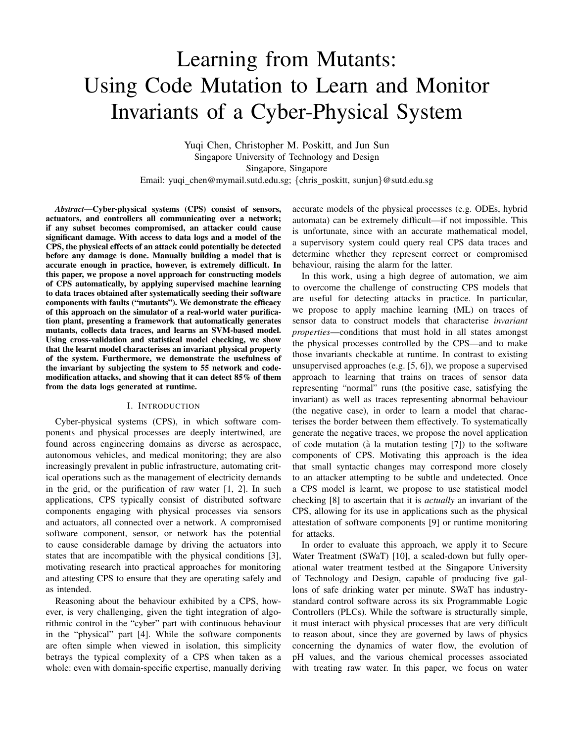# Learning from Mutants: Using Code Mutation to Learn and Monitor Invariants of a Cyber-Physical System

Yuqi Chen, Christopher M. Poskitt, and Jun Sun Singapore University of Technology and Design Singapore, Singapore Email: yuqi\_chen@mymail.sutd.edu.sg; {chris\_poskitt, sunjun}@sutd.edu.sg

*Abstract*—Cyber-physical systems (CPS) consist of sensors, actuators, and controllers all communicating over a network; if any subset becomes compromised, an attacker could cause significant damage. With access to data logs and a model of the CPS, the physical effects of an attack could potentially be detected before any damage is done. Manually building a model that is accurate enough in practice, however, is extremely difficult. In this paper, we propose a novel approach for constructing models of CPS automatically, by applying supervised machine learning to data traces obtained after systematically seeding their software components with faults ("mutants"). We demonstrate the efficacy of this approach on the simulator of a real-world water purification plant, presenting a framework that automatically generates mutants, collects data traces, and learns an SVM-based model. Using cross-validation and statistical model checking, we show that the learnt model characterises an invariant physical property of the system. Furthermore, we demonstrate the usefulness of the invariant by subjecting the system to 55 network and codemodification attacks, and showing that it can detect 85% of them from the data logs generated at runtime.

# I. INTRODUCTION

Cyber-physical systems (CPS), in which software components and physical processes are deeply intertwined, are found across engineering domains as diverse as aerospace, autonomous vehicles, and medical monitoring; they are also increasingly prevalent in public infrastructure, automating critical operations such as the management of electricity demands in the grid, or the purification of raw water [1, 2]. In such applications, CPS typically consist of distributed software components engaging with physical processes via sensors and actuators, all connected over a network. A compromised software component, sensor, or network has the potential to cause considerable damage by driving the actuators into states that are incompatible with the physical conditions [3], motivating research into practical approaches for monitoring and attesting CPS to ensure that they are operating safely and as intended.

Reasoning about the behaviour exhibited by a CPS, however, is very challenging, given the tight integration of algorithmic control in the "cyber" part with continuous behaviour in the "physical" part [4]. While the software components are often simple when viewed in isolation, this simplicity betrays the typical complexity of a CPS when taken as a whole: even with domain-specific expertise, manually deriving accurate models of the physical processes (e.g. ODEs, hybrid automata) can be extremely difficult—if not impossible. This is unfortunate, since with an accurate mathematical model, a supervisory system could query real CPS data traces and determine whether they represent correct or compromised behaviour, raising the alarm for the latter.

In this work, using a high degree of automation, we aim to overcome the challenge of constructing CPS models that are useful for detecting attacks in practice. In particular, we propose to apply machine learning (ML) on traces of sensor data to construct models that characterise *invariant properties*—conditions that must hold in all states amongst the physical processes controlled by the CPS—and to make those invariants checkable at runtime. In contrast to existing unsupervised approaches (e.g. [5, 6]), we propose a supervised approach to learning that trains on traces of sensor data representing "normal" runs (the positive case, satisfying the invariant) as well as traces representing abnormal behaviour (the negative case), in order to learn a model that characterises the border between them effectively. To systematically generate the negative traces, we propose the novel application of code mutation ( $\hat{a}$  la mutation testing [7]) to the software components of CPS. Motivating this approach is the idea that small syntactic changes may correspond more closely to an attacker attempting to be subtle and undetected. Once a CPS model is learnt, we propose to use statistical model checking [8] to ascertain that it is *actually* an invariant of the CPS, allowing for its use in applications such as the physical attestation of software components [9] or runtime monitoring for attacks.

In order to evaluate this approach, we apply it to Secure Water Treatment (SWaT) [10], a scaled-down but fully operational water treatment testbed at the Singapore University of Technology and Design, capable of producing five gallons of safe drinking water per minute. SWaT has industrystandard control software across its six Programmable Logic Controllers (PLCs). While the software is structurally simple, it must interact with physical processes that are very difficult to reason about, since they are governed by laws of physics concerning the dynamics of water flow, the evolution of pH values, and the various chemical processes associated with treating raw water. In this paper, we focus on water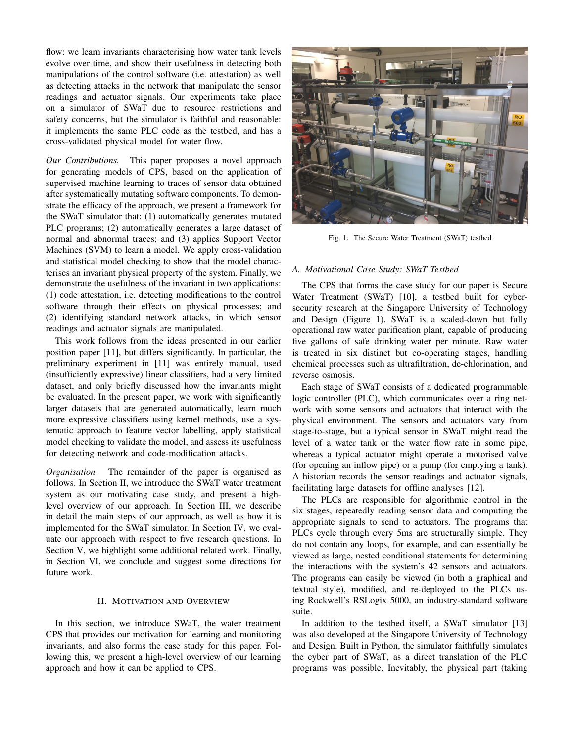flow: we learn invariants characterising how water tank levels evolve over time, and show their usefulness in detecting both manipulations of the control software (i.e. attestation) as well as detecting attacks in the network that manipulate the sensor readings and actuator signals. Our experiments take place on a simulator of SWaT due to resource restrictions and safety concerns, but the simulator is faithful and reasonable: it implements the same PLC code as the testbed, and has a cross-validated physical model for water flow.

*Our Contributions.* This paper proposes a novel approach for generating models of CPS, based on the application of supervised machine learning to traces of sensor data obtained after systematically mutating software components. To demonstrate the efficacy of the approach, we present a framework for the SWaT simulator that: (1) automatically generates mutated PLC programs; (2) automatically generates a large dataset of normal and abnormal traces; and (3) applies Support Vector Machines (SVM) to learn a model. We apply cross-validation and statistical model checking to show that the model characterises an invariant physical property of the system. Finally, we demonstrate the usefulness of the invariant in two applications: (1) code attestation, i.e. detecting modifications to the control software through their effects on physical processes; and (2) identifying standard network attacks, in which sensor readings and actuator signals are manipulated.

This work follows from the ideas presented in our earlier position paper [11], but differs significantly. In particular, the preliminary experiment in [11] was entirely manual, used (insufficiently expressive) linear classifiers, had a very limited dataset, and only briefly discussed how the invariants might be evaluated. In the present paper, we work with significantly larger datasets that are generated automatically, learn much more expressive classifiers using kernel methods, use a systematic approach to feature vector labelling, apply statistical model checking to validate the model, and assess its usefulness for detecting network and code-modification attacks.

*Organisation.* The remainder of the paper is organised as follows. In Section II, we introduce the SWaT water treatment system as our motivating case study, and present a highlevel overview of our approach. In Section III, we describe in detail the main steps of our approach, as well as how it is implemented for the SWaT simulator. In Section IV, we evaluate our approach with respect to five research questions. In Section V, we highlight some additional related work. Finally, in Section VI, we conclude and suggest some directions for future work.

#### II. MOTIVATION AND OVERVIEW

In this section, we introduce SWaT, the water treatment CPS that provides our motivation for learning and monitoring invariants, and also forms the case study for this paper. Following this, we present a high-level overview of our learning approach and how it can be applied to CPS.



Fig. 1. The Secure Water Treatment (SWaT) testbed

# *A. Motivational Case Study: SWaT Testbed*

The CPS that forms the case study for our paper is Secure Water Treatment (SWaT) [10], a testbed built for cybersecurity research at the Singapore University of Technology and Design (Figure 1). SWaT is a scaled-down but fully operational raw water purification plant, capable of producing five gallons of safe drinking water per minute. Raw water is treated in six distinct but co-operating stages, handling chemical processes such as ultrafiltration, de-chlorination, and reverse osmosis.

Each stage of SWaT consists of a dedicated programmable logic controller (PLC), which communicates over a ring network with some sensors and actuators that interact with the physical environment. The sensors and actuators vary from stage-to-stage, but a typical sensor in SWaT might read the level of a water tank or the water flow rate in some pipe, whereas a typical actuator might operate a motorised valve (for opening an inflow pipe) or a pump (for emptying a tank). A historian records the sensor readings and actuator signals, facilitating large datasets for offline analyses [12].

The PLCs are responsible for algorithmic control in the six stages, repeatedly reading sensor data and computing the appropriate signals to send to actuators. The programs that PLCs cycle through every 5ms are structurally simple. They do not contain any loops, for example, and can essentially be viewed as large, nested conditional statements for determining the interactions with the system's 42 sensors and actuators. The programs can easily be viewed (in both a graphical and textual style), modified, and re-deployed to the PLCs using Rockwell's RSLogix 5000, an industry-standard software suite.

In addition to the testbed itself, a SWaT simulator [13] was also developed at the Singapore University of Technology and Design. Built in Python, the simulator faithfully simulates the cyber part of SWaT, as a direct translation of the PLC programs was possible. Inevitably, the physical part (taking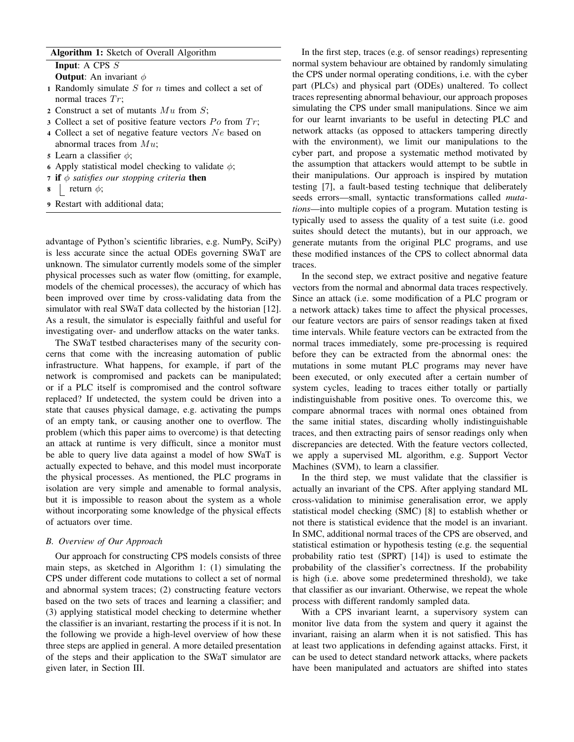# Algorithm 1: Sketch of Overall Algorithm

Input: A CPS S

**Output:** An invariant  $\phi$ 

- 1 Randomly simulate  $S$  for  $n$  times and collect a set of normal traces  $Tr$ ;
- 2 Construct a set of mutants  $Mu$  from  $S$ ;
- 3 Collect a set of positive feature vectors  $Po$  from  $Tr$ ;
- 4 Collect a set of negative feature vectors  $Ne$  based on abnormal traces from  $Mu$ ;
- 5 Learn a classifier  $\phi$ ;
- 6 Apply statistical model checking to validate  $\phi$ ;
- 7 **if**  $\phi$  *satisfies our stopping criteria* then
- | return  $\phi$ ;
- 9 Restart with additional data;

advantage of Python's scientific libraries, e.g. NumPy, SciPy) is less accurate since the actual ODEs governing SWaT are unknown. The simulator currently models some of the simpler physical processes such as water flow (omitting, for example, models of the chemical processes), the accuracy of which has been improved over time by cross-validating data from the simulator with real SWaT data collected by the historian [12]. As a result, the simulator is especially faithful and useful for investigating over- and underflow attacks on the water tanks.

The SWaT testbed characterises many of the security concerns that come with the increasing automation of public infrastructure. What happens, for example, if part of the network is compromised and packets can be manipulated; or if a PLC itself is compromised and the control software replaced? If undetected, the system could be driven into a state that causes physical damage, e.g. activating the pumps of an empty tank, or causing another one to overflow. The problem (which this paper aims to overcome) is that detecting an attack at runtime is very difficult, since a monitor must be able to query live data against a model of how SWaT is actually expected to behave, and this model must incorporate the physical processes. As mentioned, the PLC programs in isolation are very simple and amenable to formal analysis, but it is impossible to reason about the system as a whole without incorporating some knowledge of the physical effects of actuators over time.

# *B. Overview of Our Approach*

Our approach for constructing CPS models consists of three main steps, as sketched in Algorithm 1: (1) simulating the CPS under different code mutations to collect a set of normal and abnormal system traces; (2) constructing feature vectors based on the two sets of traces and learning a classifier; and (3) applying statistical model checking to determine whether the classifier is an invariant, restarting the process if it is not. In the following we provide a high-level overview of how these three steps are applied in general. A more detailed presentation of the steps and their application to the SWaT simulator are given later, in Section III.

In the first step, traces (e.g. of sensor readings) representing normal system behaviour are obtained by randomly simulating the CPS under normal operating conditions, i.e. with the cyber part (PLCs) and physical part (ODEs) unaltered. To collect traces representing abnormal behaviour, our approach proposes simulating the CPS under small manipulations. Since we aim for our learnt invariants to be useful in detecting PLC and network attacks (as opposed to attackers tampering directly with the environment), we limit our manipulations to the cyber part, and propose a systematic method motivated by the assumption that attackers would attempt to be subtle in their manipulations. Our approach is inspired by mutation testing [7], a fault-based testing technique that deliberately seeds errors—small, syntactic transformations called *mutations*—into multiple copies of a program. Mutation testing is typically used to assess the quality of a test suite (i.e. good suites should detect the mutants), but in our approach, we generate mutants from the original PLC programs, and use these modified instances of the CPS to collect abnormal data traces.

In the second step, we extract positive and negative feature vectors from the normal and abnormal data traces respectively. Since an attack (i.e. some modification of a PLC program or a network attack) takes time to affect the physical processes, our feature vectors are pairs of sensor readings taken at fixed time intervals. While feature vectors can be extracted from the normal traces immediately, some pre-processing is required before they can be extracted from the abnormal ones: the mutations in some mutant PLC programs may never have been executed, or only executed after a certain number of system cycles, leading to traces either totally or partially indistinguishable from positive ones. To overcome this, we compare abnormal traces with normal ones obtained from the same initial states, discarding wholly indistinguishable traces, and then extracting pairs of sensor readings only when discrepancies are detected. With the feature vectors collected, we apply a supervised ML algorithm, e.g. Support Vector Machines (SVM), to learn a classifier.

In the third step, we must validate that the classifier is actually an invariant of the CPS. After applying standard ML cross-validation to minimise generalisation error, we apply statistical model checking (SMC) [8] to establish whether or not there is statistical evidence that the model is an invariant. In SMC, additional normal traces of the CPS are observed, and statistical estimation or hypothesis testing (e.g. the sequential probability ratio test (SPRT) [14]) is used to estimate the probability of the classifier's correctness. If the probability is high (i.e. above some predetermined threshold), we take that classifier as our invariant. Otherwise, we repeat the whole process with different randomly sampled data.

With a CPS invariant learnt, a supervisory system can monitor live data from the system and query it against the invariant, raising an alarm when it is not satisfied. This has at least two applications in defending against attacks. First, it can be used to detect standard network attacks, where packets have been manipulated and actuators are shifted into states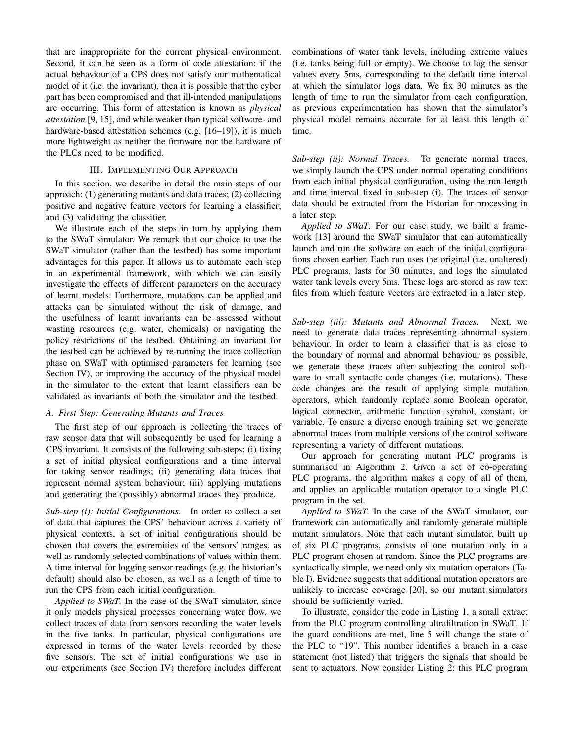that are inappropriate for the current physical environment. Second, it can be seen as a form of code attestation: if the actual behaviour of a CPS does not satisfy our mathematical model of it (i.e. the invariant), then it is possible that the cyber part has been compromised and that ill-intended manipulations are occurring. This form of attestation is known as *physical attestation* [9, 15], and while weaker than typical software- and hardware-based attestation schemes (e.g. [16–19]), it is much more lightweight as neither the firmware nor the hardware of the PLCs need to be modified.

# III. IMPLEMENTING OUR APPROACH

In this section, we describe in detail the main steps of our approach: (1) generating mutants and data traces; (2) collecting positive and negative feature vectors for learning a classifier; and (3) validating the classifier.

We illustrate each of the steps in turn by applying them to the SWaT simulator. We remark that our choice to use the SWaT simulator (rather than the testbed) has some important advantages for this paper. It allows us to automate each step in an experimental framework, with which we can easily investigate the effects of different parameters on the accuracy of learnt models. Furthermore, mutations can be applied and attacks can be simulated without the risk of damage, and the usefulness of learnt invariants can be assessed without wasting resources (e.g. water, chemicals) or navigating the policy restrictions of the testbed. Obtaining an invariant for the testbed can be achieved by re-running the trace collection phase on SWaT with optimised parameters for learning (see Section IV), or improving the accuracy of the physical model in the simulator to the extent that learnt classifiers can be validated as invariants of both the simulator and the testbed.

# *A. First Step: Generating Mutants and Traces*

The first step of our approach is collecting the traces of raw sensor data that will subsequently be used for learning a CPS invariant. It consists of the following sub-steps: (i) fixing a set of initial physical configurations and a time interval for taking sensor readings; (ii) generating data traces that represent normal system behaviour; (iii) applying mutations and generating the (possibly) abnormal traces they produce.

*Sub-step (i): Initial Configurations.* In order to collect a set of data that captures the CPS' behaviour across a variety of physical contexts, a set of initial configurations should be chosen that covers the extremities of the sensors' ranges, as well as randomly selected combinations of values within them. A time interval for logging sensor readings (e.g. the historian's default) should also be chosen, as well as a length of time to run the CPS from each initial configuration.

*Applied to SWaT.* In the case of the SWaT simulator, since it only models physical processes concerning water flow, we collect traces of data from sensors recording the water levels in the five tanks. In particular, physical configurations are expressed in terms of the water levels recorded by these five sensors. The set of initial configurations we use in our experiments (see Section IV) therefore includes different combinations of water tank levels, including extreme values (i.e. tanks being full or empty). We choose to log the sensor values every 5ms, corresponding to the default time interval at which the simulator logs data. We fix 30 minutes as the length of time to run the simulator from each configuration, as previous experimentation has shown that the simulator's physical model remains accurate for at least this length of time.

*Sub-step (ii): Normal Traces.* To generate normal traces, we simply launch the CPS under normal operating conditions from each initial physical configuration, using the run length and time interval fixed in sub-step (i). The traces of sensor data should be extracted from the historian for processing in a later step.

*Applied to SWaT.* For our case study, we built a framework [13] around the SWaT simulator that can automatically launch and run the software on each of the initial configurations chosen earlier. Each run uses the original (i.e. unaltered) PLC programs, lasts for 30 minutes, and logs the simulated water tank levels every 5ms. These logs are stored as raw text files from which feature vectors are extracted in a later step.

*Sub-step (iii): Mutants and Abnormal Traces.* Next, we need to generate data traces representing abnormal system behaviour. In order to learn a classifier that is as close to the boundary of normal and abnormal behaviour as possible, we generate these traces after subjecting the control software to small syntactic code changes (i.e. mutations). These code changes are the result of applying simple mutation operators, which randomly replace some Boolean operator, logical connector, arithmetic function symbol, constant, or variable. To ensure a diverse enough training set, we generate abnormal traces from multiple versions of the control software representing a variety of different mutations.

Our approach for generating mutant PLC programs is summarised in Algorithm 2. Given a set of co-operating PLC programs, the algorithm makes a copy of all of them, and applies an applicable mutation operator to a single PLC program in the set.

*Applied to SWaT.* In the case of the SWaT simulator, our framework can automatically and randomly generate multiple mutant simulators. Note that each mutant simulator, built up of six PLC programs, consists of one mutation only in a PLC program chosen at random. Since the PLC programs are syntactically simple, we need only six mutation operators (Table I). Evidence suggests that additional mutation operators are unlikely to increase coverage [20], so our mutant simulators should be sufficiently varied.

To illustrate, consider the code in Listing 1, a small extract from the PLC program controlling ultrafiltration in SWaT. If the guard conditions are met, line 5 will change the state of the PLC to "19". This number identifies a branch in a case statement (not listed) that triggers the signals that should be sent to actuators. Now consider Listing 2: this PLC program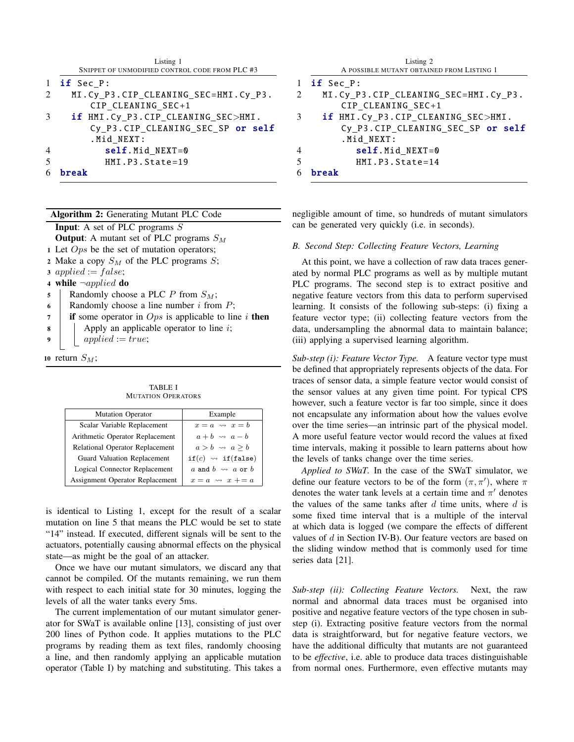|              | Listing 1                                      |  |  |  |  |  |
|--------------|------------------------------------------------|--|--|--|--|--|
|              | SNIPPET OF UNMODIFIED CONTROL CODE FROM PLC #3 |  |  |  |  |  |
| $\mathbf{1}$ | if Sec P:                                      |  |  |  |  |  |
| 2            | MI.Cy P3.CIP CLEANING SEC=HMI.Cy P3.           |  |  |  |  |  |
|              | CIP CLEANING SEC+1                             |  |  |  |  |  |
| 3            | if HMI.Cy_P3.CIP_CLEANING_SEC>HMI.             |  |  |  |  |  |
|              | Cy P3.CIP CLEANING SEC SP or self              |  |  |  |  |  |
|              | .Mid NEXT:                                     |  |  |  |  |  |
| 4            | $self.Mid$ NEXT=0                              |  |  |  |  |  |
| 5            | $HMI.P3.State=19$                              |  |  |  |  |  |
| 6            | break                                          |  |  |  |  |  |

Algorithm 2: Generating Mutant PLC Code

**Input:** A set of PLC programs  $S$ **Output:** A mutant set of PLC programs  $S_M$ 1 Let  $Ops$  be the set of mutation operators; 2 Make a copy  $S_M$  of the PLC programs  $S$ ; 3 applied :=  $false$ ; <sup>4</sup> while ¬applied do 5 Randomly choose a PLC P from  $S_M$ ; 6 Randomly choose a line number i from  $P$ ;  $\tau$  if some operator in *Ops* is applicable to line i then  $\mathbf{8}$  | Apply an applicable operator to line *i*; 9 |  $applied := true;$ 

```
10 return S_M;
```
TABLE I MUTATION OPERATORS

| <b>Mutation Operator</b>               | Example                             |
|----------------------------------------|-------------------------------------|
| Scalar Variable Replacement            | $x = a \rightarrow x = b$           |
| Arithmetic Operator Replacement        | $a+b \rightsquigarrow a-b$          |
| Relational Operator Replacement        | $a > b \rightsquigarrow a > b$      |
| Guard Valuation Replacement            | $if(c) \rightsquigarrow if(false)$  |
| Logical Connector Replacement          | a and $b \rightsquigarrow a$ or $b$ |
| <b>Assignment Operator Replacement</b> | $x = a \rightarrow x += a$          |

is identical to Listing 1, except for the result of a scalar mutation on line 5 that means the PLC would be set to state "14" instead. If executed, different signals will be sent to the actuators, potentially causing abnormal effects on the physical state—as might be the goal of an attacker.

Once we have our mutant simulators, we discard any that cannot be compiled. Of the mutants remaining, we run them with respect to each initial state for 30 minutes, logging the levels of all the water tanks every 5ms.

The current implementation of our mutant simulator generator for SWaT is available online [13], consisting of just over 200 lines of Python code. It applies mutations to the PLC programs by reading them as text files, randomly choosing a line, and then randomly applying an applicable mutation operator (Table I) by matching and substituting. This takes a

|   | Listing 2                                 |
|---|-------------------------------------------|
|   | A POSSIBLE MUTANT OBTAINED FROM LISTING 1 |
| 1 | if Sec P:                                 |
| 2 | MI.Cy_P3.CIP_CLEANING_SEC=HMI.Cy_P3.      |
|   | CIP CLEANING SEC+1                        |
| 3 | if HMI.Cy_P3.CIP_CLEANING_SEC>HMI.        |
|   | Cy P3.CIP CLEANING SEC SP or self         |
|   | .Mid NEXT:                                |
| 4 | $self.Mid$ NEXT=0                         |
| 5 | $HMI.P3.State=14$                         |
|   | break                                     |

negligible amount of time, so hundreds of mutant simulators can be generated very quickly (i.e. in seconds).

# *B. Second Step: Collecting Feature Vectors, Learning*

At this point, we have a collection of raw data traces generated by normal PLC programs as well as by multiple mutant PLC programs. The second step is to extract positive and negative feature vectors from this data to perform supervised learning. It consists of the following sub-steps: (i) fixing a feature vector type; (ii) collecting feature vectors from the data, undersampling the abnormal data to maintain balance; (iii) applying a supervised learning algorithm.

*Sub-step (i): Feature Vector Type.* A feature vector type must be defined that appropriately represents objects of the data. For traces of sensor data, a simple feature vector would consist of the sensor values at any given time point. For typical CPS however, such a feature vector is far too simple, since it does not encapsulate any information about how the values evolve over the time series—an intrinsic part of the physical model. A more useful feature vector would record the values at fixed time intervals, making it possible to learn patterns about how the levels of tanks change over the time series.

*Applied to SWaT.* In the case of the SWaT simulator, we define our feature vectors to be of the form  $(\pi, \pi')$ , where  $\pi$ denotes the water tank levels at a certain time and  $\pi'$  denotes the values of the same tanks after  $d$  time units, where  $d$  is some fixed time interval that is a multiple of the interval at which data is logged (we compare the effects of different values of d in Section IV-B). Our feature vectors are based on the sliding window method that is commonly used for time series data [21].

*Sub-step (ii): Collecting Feature Vectors.* Next, the raw normal and abnormal data traces must be organised into positive and negative feature vectors of the type chosen in substep (i). Extracting positive feature vectors from the normal data is straightforward, but for negative feature vectors, we have the additional difficulty that mutants are not guaranteed to be *effective*, i.e. able to produce data traces distinguishable from normal ones. Furthermore, even effective mutants may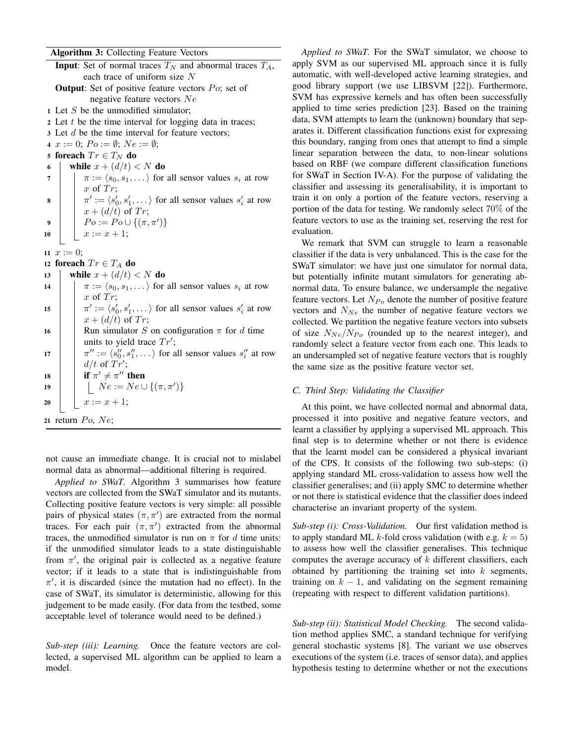## Algorithm 3: Collecting Feature Vectors

**Input:** Set of normal traces  $T_N$  and abnormal traces  $T_A$ , each trace of uniform size N **Output**: Set of positive feature vectors  $Po$ ; set of negative feature vectors Ne 1 Let  $S$  be the unmodified simulator; 2 Let  $t$  be the time interval for logging data in traces;  $3$  Let  $d$  be the time interval for feature vectors; 4  $x := 0$ ;  $Po := \emptyset$ ;  $Ne := \emptyset$ ; 5 foreach  $Tr \in T_N$  do 6 while  $x + (d/t) < N$  do  $\tau$  |  $\pi := \langle s_0, s_1, \dots \rangle$  for all sensor values  $s_i$  at row x of  $Tr$ ; 8  $\pi' := \langle s'_0, s'_1, \dots \rangle$  for all sensor values  $s'_i$  at row  $x + (d/t)$  of Tr; 9  $\vert P_0 := Po \cup \{(\pi, \pi')\}$ 10  $\vert x := x + 1;$ 11  $x := 0$ ; 12 foreach  $Tr \in T_A$  do 13 while  $x + (d/t) < N$  do 14  $\pi := \langle s_0, s_1, \dots \rangle$  for all sensor values  $s_i$  at row  $x$  of  $Tr$ : 15  $\pi' := \langle s'_0, s'_1, \dots \rangle$  for all sensor values  $s'_i$  at row  $x + (d/t)$  of  $Tr;$ 16 | Run simulator S on configuration  $\pi$  for d time units to yield trace  $Tr'$ ; 17  $\begin{array}{|c|c|c|c|c|} \hline \end{array}$   $\pi'' := \langle s_0'', s_1'', \dots \rangle$  for all sensor values  $s_i''$  at row  $d/t$  of  $Tr'$ ; 18 **if**  $\pi' \neq \pi''$  then 19  $\vert \vert \vert Ne := Ne \cup \{(\pi, \pi')\}$ 20  $x := x + 1;$ 21 return  $Po, Ne;$ 

not cause an immediate change. It is crucial not to mislabel normal data as abnormal—additional filtering is required.

*Applied to SWaT.* Algorithm 3 summarises how feature vectors are collected from the SWaT simulator and its mutants. Collecting positive feature vectors is very simple: all possible pairs of physical states  $(\pi, \pi')$  are extracted from the normal traces. For each pair  $(\pi, \pi')$  extracted from the abnormal traces, the unmodified simulator is run on  $\pi$  for d time units: if the unmodified simulator leads to a state distinguishable from  $\pi'$ , the original pair is collected as a negative feature vector; if it leads to a state that is indistinguishable from  $\pi'$ , it is discarded (since the mutation had no effect). In the case of SWaT, its simulator is deterministic, allowing for this judgement to be made easily. (For data from the testbed, some acceptable level of tolerance would need to be defined.)

*Sub-step (iii): Learning.* Once the feature vectors are collected, a supervised ML algorithm can be applied to learn a model.

*Applied to SWaT.* For the SWaT simulator, we choose to apply SVM as our supervised ML approach since it is fully automatic, with well-developed active learning strategies, and good library support (we use LIBSVM [22]). Furthermore, SVM has expressive kernels and has often been successfully applied to time series prediction [23]. Based on the training data, SVM attempts to learn the (unknown) boundary that separates it. Different classification functions exist for expressing this boundary, ranging from ones that attempt to find a simple linear separation between the data, to non-linear solutions based on RBF (we compare different classification functions for SWaT in Section IV-A). For the purpose of validating the classifier and assessing its generalisability, it is important to train it on only a portion of the feature vectors, reserving a portion of the data for testing. We randomly select 70% of the feature vectors to use as the training set, reserving the rest for evaluation.

We remark that SVM can struggle to learn a reasonable classifier if the data is very unbalanced. This is the case for the SWaT simulator: we have just one simulator for normal data, but potentially infinite mutant simulators for generating abnormal data. To ensure balance, we undersample the negative feature vectors. Let  $N_{Po}$  denote the number of positive feature vectors and  $N_{Ne}$  the number of negative feature vectors we collected. We partition the negative feature vectors into subsets of size  $N_{Ne}/N_{Po}$  (rounded up to the nearest integer), and randomly select a feature vector from each one. This leads to an undersampled set of negative feature vectors that is roughly the same size as the positive feature vector set.

#### *C. Third Step: Validating the Classifier*

At this point, we have collected normal and abnormal data, processed it into positive and negative feature vectors, and learnt a classifier by applying a supervised ML approach. This final step is to determine whether or not there is evidence that the learnt model can be considered a physical invariant of the CPS. It consists of the following two sub-steps: (i) applying standard ML cross-validation to assess how well the classifier generalises; and (ii) apply SMC to determine whether or not there is statistical evidence that the classifier does indeed characterise an invariant property of the system.

*Sub-step (i): Cross-Validation.* Our first validation method is to apply standard ML k-fold cross validation (with e.g.  $k = 5$ ) to assess how well the classifier generalises. This technique computes the average accuracy of  $k$  different classifiers, each obtained by partitioning the training set into  $k$  segments, training on  $k - 1$ , and validating on the segment remaining (repeating with respect to different validation partitions).

*Sub-step (ii): Statistical Model Checking.* The second validation method applies SMC, a standard technique for verifying general stochastic systems [8]. The variant we use observes executions of the system (i.e. traces of sensor data), and applies hypothesis testing to determine whether or not the executions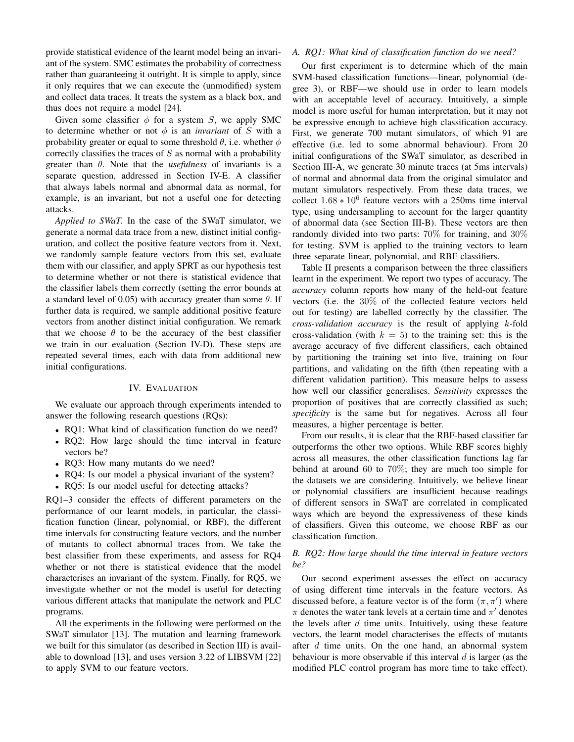provide statistical evidence of the learnt model being an invariant of the system. SMC estimates the probability of correctness rather than guaranteeing it outright. It is simple to apply, since it only requires that we can execute the (unmodified) system and collect data traces. It treats the system as a black box, and thus does not require a model [24].

Given some classifier  $\phi$  for a system S, we apply SMC to determine whether or not  $\phi$  is an *invariant* of S with a probability greater or equal to some threshold  $\theta$ , i.e. whether  $\phi$ correctly classifies the traces of  $S$  as normal with a probability greater than θ. Note that the *usefulness* of invariants is a separate question, addressed in Section IV-E. A classifier that always labels normal and abnormal data as normal, for example, is an invariant, but not a useful one for detecting attacks.

*Applied to SWaT.* In the case of the SWaT simulator, we generate a normal data trace from a new, distinct initial configuration, and collect the positive feature vectors from it. Next, we randomly sample feature vectors from this set, evaluate them with our classifier, and apply SPRT as our hypothesis test to determine whether or not there is statistical evidence that the classifier labels them correctly (setting the error bounds at a standard level of 0.05) with accuracy greater than some  $\theta$ . If further data is required, we sample additional positive feature vectors from another distinct initial configuration. We remark that we choose  $\theta$  to be the accuracy of the best classifier we train in our evaluation (Section IV-D). These steps are repeated several times, each with data from additional new initial configurations.

#### IV. EVALUATION

We evaluate our approach through experiments intended to answer the following research questions (RQs):

- RQ1: What kind of classification function do we need?
- RQ2: How large should the time interval in feature vectors be?
- RQ3: How many mutants do we need?
- RQ4: Is our model a physical invariant of the system?
- RQ5: Is our model useful for detecting attacks?

RQ1–3 consider the effects of different parameters on the performance of our learnt models, in particular, the classification function (linear, polynomial, or RBF), the different time intervals for constructing feature vectors, and the number of mutants to collect abnormal traces from. We take the best classifier from these experiments, and assess for RQ4 whether or not there is statistical evidence that the model characterises an invariant of the system. Finally, for RQ5, we investigate whether or not the model is useful for detecting various different attacks that manipulate the network and PLC programs.

All the experiments in the following were performed on the SWaT simulator [13]. The mutation and learning framework we built for this simulator (as described in Section III) is available to download [13], and uses version 3.22 of LIBSVM [22] to apply SVM to our feature vectors.

# *A. RQ1: What kind of classification function do we need?*

Our first experiment is to determine which of the main SVM-based classification functions—linear, polynomial (degree 3), or RBF—we should use in order to learn models with an acceptable level of accuracy. Intuitively, a simple model is more useful for human interpretation, but it may not be expressive enough to achieve high classification accuracy. First, we generate 700 mutant simulators, of which 91 are effective (i.e. led to some abnormal behaviour). From 20 initial configurations of the SWaT simulator, as described in Section III-A, we generate 30 minute traces (at 5ms intervals) of normal and abnormal data from the original simulator and mutant simulators respectively. From these data traces, we collect  $1.68 * 10^6$  feature vectors with a 250ms time interval type, using undersampling to account for the larger quantity of abnormal data (see Section III-B). These vectors are then randomly divided into two parts: 70% for training, and 30% for testing. SVM is applied to the training vectors to learn three separate linear, polynomial, and RBF classifiers.

Table II presents a comparison between the three classifiers learnt in the experiment. We report two types of accuracy. The *accuracy* column reports how many of the held-out feature vectors (i.e. the 30% of the collected feature vectors held out for testing) are labelled correctly by the classifier. The *cross-validation accuracy* is the result of applying k-fold cross-validation (with  $k = 5$ ) to the training set: this is the average accuracy of five different classifiers, each obtained by partitioning the training set into five, training on four partitions, and validating on the fifth (then repeating with a different validation partition). This measure helps to assess how well our classifier generalises. *Sensitivity* expresses the proportion of positives that are correctly classified as such; *specificity* is the same but for negatives. Across all four measures, a higher percentage is better.

From our results, it is clear that the RBF-based classifier far outperforms the other two options. While RBF scores highly across all measures, the other classification functions lag far behind at around 60 to 70%; they are much too simple for the datasets we are considering. Intuitively, we believe linear or polynomial classifiers are insufficient because readings of different sensors in SWaT are correlated in complicated ways which are beyond the expressiveness of these kinds of classifiers. Given this outcome, we choose RBF as our classification function.

# *B. RQ2: How large should the time interval in feature vectors be?*

Our second experiment assesses the effect on accuracy of using different time intervals in the feature vectors. As discussed before, a feature vector is of the form  $(\pi, \pi')$  where  $\pi$  denotes the water tank levels at a certain time and  $\pi'$  denotes the levels after  $d$  time units. Intuitively, using these feature vectors, the learnt model characterises the effects of mutants after  $d$  time units. On the one hand, an abnormal system behaviour is more observable if this interval  $d$  is larger (as the modified PLC control program has more time to take effect).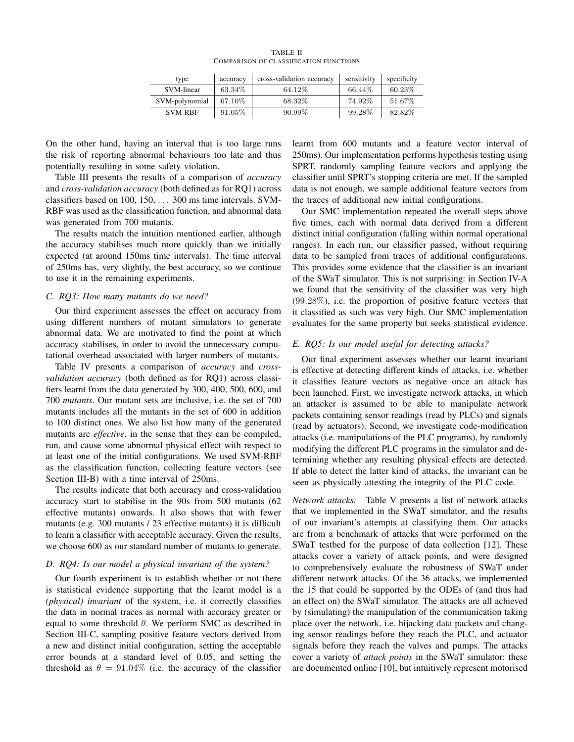| <b>TABLE II</b>                        |  |
|----------------------------------------|--|
| COMPARISON OF CLASSIFICATION FUNCTIONS |  |

| type           | accuracy          | cross-validation accuracy | sensitivity | specificity |
|----------------|-------------------|---------------------------|-------------|-------------|
| SVM-linear     | 63.34\%<br>64.12% |                           | 66.44\%     | 60.23%      |
| SVM-polynomial | 67.10\%           | 68.32\%                   | 74.92%      | $51.67\%$   |
| <b>SVM-RBF</b> | 91.05%            | 90.99%                    | 99.28%      | 82.82%      |

On the other hand, having an interval that is too large runs the risk of reporting abnormal behaviours too late and thus potentially resulting in some safety violation.

Table III presents the results of a comparison of *accuracy* and *cross-validation accuracy* (both defined as for RQ1) across classifiers based on 100, 150, . . . 300 ms time intervals. SVM-RBF was used as the classification function, and abnormal data was generated from 700 mutants.

The results match the intuition mentioned earlier, although the accuracy stabilises much more quickly than we initially expected (at around 150ms time intervals). The time interval of 250ms has, very slightly, the best accuracy, so we continue to use it in the remaining experiments.

#### *C. RQ3: How many mutants do we need?*

Our third experiment assesses the effect on accuracy from using different numbers of mutant simulators to generate abnormal data. We are motivated to find the point at which accuracy stabilises, in order to avoid the unnecessary computational overhead associated with larger numbers of mutants.

Table IV presents a comparison of *accuracy* and *crossvalidation accuracy* (both defined as for RQ1) across classifiers learnt from the data generated by 300, 400, 500, 600, and 700 *mutants*. Our mutant sets are inclusive, i.e. the set of 700 mutants includes all the mutants in the set of 600 in addition to 100 distinct ones. We also list how many of the generated mutants are *effective*, in the sense that they can be compiled, run, and cause some abnormal physical effect with respect to at least one of the initial configurations. We used SVM-RBF as the classification function, collecting feature vectors (see Section III-B) with a time interval of 250ms.

The results indicate that both accuracy and cross-validation accuracy start to stabilise in the 90s from 500 mutants (62 effective mutants) onwards. It also shows that with fewer mutants (e.g. 300 mutants / 23 effective mutants) it is difficult to learn a classifier with acceptable accuracy. Given the results, we choose 600 as our standard number of mutants to generate.

#### *D. RQ4: Is our model a physical invariant of the system?*

Our fourth experiment is to establish whether or not there is statistical evidence supporting that the learnt model is a *(physical) invariant* of the system, i.e. it correctly classifies the data in normal traces as normal with accuracy greater or equal to some threshold  $\theta$ . We perform SMC as described in Section III-C, sampling positive feature vectors derived from a new and distinct initial configuration, setting the acceptable error bounds at a standard level of 0.05, and setting the threshold as  $\theta = 91.04\%$  (i.e. the accuracy of the classifier learnt from 600 mutants and a feature vector interval of 250ms). Our implementation performs hypothesis testing using SPRT, randomly sampling feature vectors and applying the classifier until SPRT's stopping criteria are met. If the sampled data is not enough, we sample additional feature vectors from the traces of additional new initial configurations.

Our SMC implementation repeated the overall steps above five times, each with normal data derived from a different distinct initial configuration (falling within normal operational ranges). In each run, our classifier passed, without requiring data to be sampled from traces of additional configurations. This provides some evidence that the classifier is an invariant of the SWaT simulator. This is not surprising: in Section IV-A we found that the sensitivity of the classifier was very high  $(99.28\%)$ , i.e. the proportion of positive feature vectors that it classified as such was very high. Our SMC implementation evaluates for the same property but seeks statistical evidence.

#### *E. RQ5: Is our model useful for detecting attacks?*

Our final experiment assesses whether our learnt invariant is effective at detecting different kinds of attacks, i.e. whether it classifies feature vectors as negative once an attack has been launched. First, we investigate network attacks, in which an attacker is assumed to be able to manipulate network packets containing sensor readings (read by PLCs) and signals (read by actuators). Second, we investigate code-modification attacks (i.e. manipulations of the PLC programs), by randomly modifying the different PLC programs in the simulator and determining whether any resulting physical effects are detected. If able to detect the latter kind of attacks, the invariant can be seen as physically attesting the integrity of the PLC code.

*Network attacks.* Table V presents a list of network attacks that we implemented in the SWaT simulator, and the results of our invariant's attempts at classifying them. Our attacks are from a benchmark of attacks that were performed on the SWaT testbed for the purpose of data collection [12]. These attacks cover a variety of attack points, and were designed to comprehensively evaluate the robustness of SWaT under different network attacks. Of the 36 attacks, we implemented the 15 that could be supported by the ODEs of (and thus had an effect on) the SWaT simulator. The attacks are all achieved by (simulating) the manipulation of the communication taking place over the network, i.e. hijacking data packets and changing sensor readings before they reach the PLC, and actuator signals before they reach the valves and pumps. The attacks cover a variety of *attack points* in the SWaT simulator: these are documented online [10], but intuitively represent motorised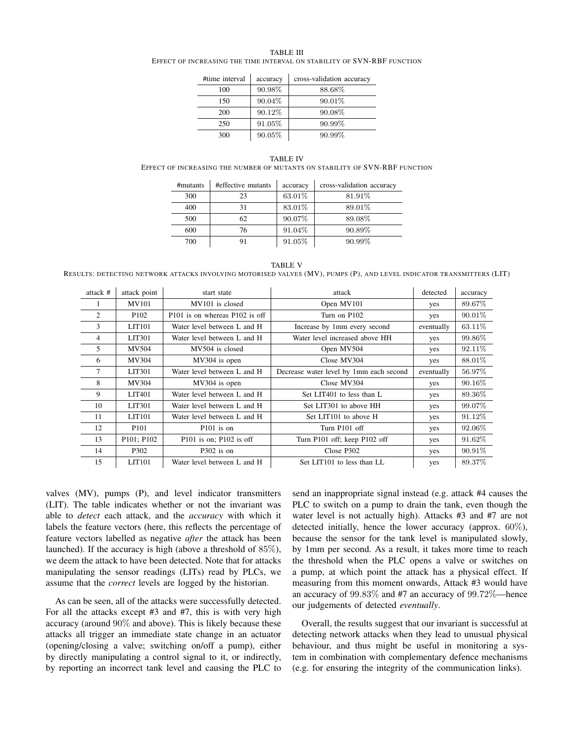| #time interval | accuracy | cross-validation accuracy |
|----------------|----------|---------------------------|
| 100            | 90.98%   | 88.68%                    |
| 150            | 90.04%   | 90.01%                    |
| 200            | 90.12%   | 90.08%                    |
| 250            | 91.05%   | 90.99%                    |
| 300            | 90.05%   | 90.99%                    |

#### TABLE III EFFECT OF INCREASING THE TIME INTERVAL ON STABILITY OF SVN-RBF FUNCTION

|                                                                             | <b>TABLE IV</b> |  |
|-----------------------------------------------------------------------------|-----------------|--|
| Effect of increasing the number of mutants on stability of SVN-RBF function |                 |  |

| #mutants | #effective mutants | accuracy | cross-validation accuracy |
|----------|--------------------|----------|---------------------------|
| 300      | 23                 | 63.01%   | 81.91%                    |
| 400      | 31                 | 83.01%   | 89.01%                    |
| 500      | 62                 | 90.07%   | 89.08%                    |
| 600      | 76                 | 91.04%   | 90.89%                    |
| 700      |                    | 91.05%   | 90.99%                    |

TABLE V RESULTS: DETECTING NETWORK ATTACKS INVOLVING MOTORISED VALVES (MV), PUMPS (P), AND LEVEL INDICATOR TRANSMITTERS (LIT)

| attack # | attack point                        | start state                    | attack                                  | detected   | accuracy |
|----------|-------------------------------------|--------------------------------|-----------------------------------------|------------|----------|
| 1        | MV101                               | MV101 is closed                | Open MV101                              | yes        | 89.67%   |
| 2        | P <sub>102</sub>                    | P101 is on whereas P102 is off | Turn on P102                            | yes        | 90.01\%  |
| 3        | LIT101                              | Water level between L and H    | Increase by 1mm every second            | eventually | 63.11\%  |
| 4        | LIT301                              | Water level between L and H    | Water level increased above HH          | yes        | 99.86\%  |
| 5        | MV504                               | MV504 is closed                | Open MV504                              | yes        | 92.11\%  |
| 6        | MV304                               | MV304 is open                  | Close MV304                             | yes        | 88.01\%  |
| 7        | LIT301                              | Water level between L and H    | Decrease water level by 1mm each second | eventually | 56.97%   |
| 8        | MV304                               | MV304 is open                  | Close MV304                             | yes        | 90.16\%  |
| 9        | LIT401                              | Water level between L and H    | Set LIT401 to less than L               | yes        | 89.36%   |
| 10       | LIT301                              | Water level between L and H    | Set LIT301 to above HH                  | yes        | 99.07\%  |
| 11       | LIT101                              | Water level between L and H    | Set LIT101 to above H                   | yes        | 91.12%   |
| 12       | P <sub>101</sub>                    | $P101$ is on                   | Turn P101 off                           | yes        | 92.06%   |
| 13       | P <sub>101</sub> ; P <sub>102</sub> | $P101$ is on; $P102$ is off    | Turn P101 off; keep P102 off            | yes        | 91.62\%  |
| 14       | P302                                | P302 is on                     | Close P302                              | yes        | 90.91\%  |
| 15       | LIT101                              | Water level between L and H    | Set LIT101 to less than LL              | yes        | 89.37%   |

valves (MV), pumps (P), and level indicator transmitters (LIT). The table indicates whether or not the invariant was able to *detect* each attack, and the *accuracy* with which it labels the feature vectors (here, this reflects the percentage of feature vectors labelled as negative *after* the attack has been launched). If the accuracy is high (above a threshold of 85%), we deem the attack to have been detected. Note that for attacks manipulating the sensor readings (LITs) read by PLCs, we assume that the *correct* levels are logged by the historian.

As can be seen, all of the attacks were successfully detected. For all the attacks except #3 and #7, this is with very high accuracy (around 90% and above). This is likely because these attacks all trigger an immediate state change in an actuator (opening/closing a valve; switching on/off a pump), either by directly manipulating a control signal to it, or indirectly, by reporting an incorrect tank level and causing the PLC to send an inappropriate signal instead (e.g. attack #4 causes the PLC to switch on a pump to drain the tank, even though the water level is not actually high). Attacks #3 and #7 are not detected initially, hence the lower accuracy (approx.  $60\%$ ), because the sensor for the tank level is manipulated slowly, by 1mm per second. As a result, it takes more time to reach the threshold when the PLC opens a valve or switches on a pump, at which point the attack has a physical effect. If measuring from this moment onwards, Attack #3 would have an accuracy of 99.83% and #7 an accuracy of 99.72%—hence our judgements of detected *eventually*.

Overall, the results suggest that our invariant is successful at detecting network attacks when they lead to unusual physical behaviour, and thus might be useful in monitoring a system in combination with complementary defence mechanisms (e.g. for ensuring the integrity of the communication links).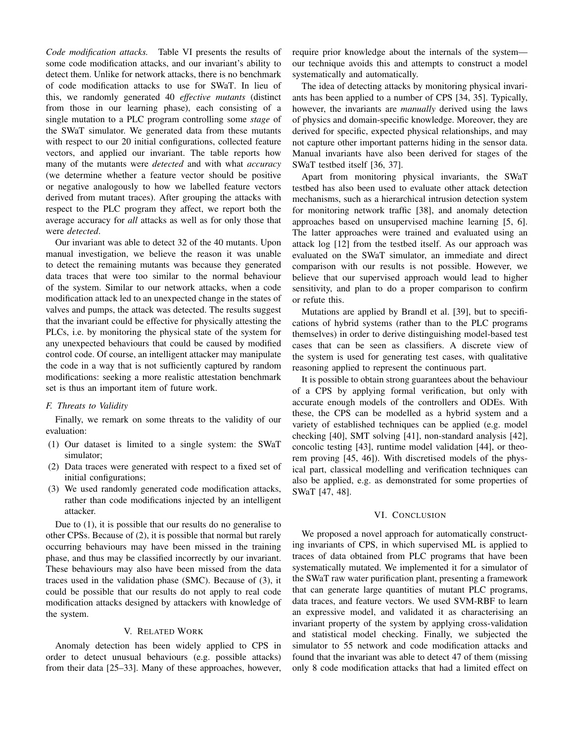*Code modification attacks.* Table VI presents the results of some code modification attacks, and our invariant's ability to detect them. Unlike for network attacks, there is no benchmark of code modification attacks to use for SWaT. In lieu of this, we randomly generated 40 *effective mutants* (distinct from those in our learning phase), each consisting of a single mutation to a PLC program controlling some *stage* of the SWaT simulator. We generated data from these mutants with respect to our 20 initial configurations, collected feature vectors, and applied our invariant. The table reports how many of the mutants were *detected* and with what *accuracy* (we determine whether a feature vector should be positive or negative analogously to how we labelled feature vectors derived from mutant traces). After grouping the attacks with respect to the PLC program they affect, we report both the average accuracy for *all* attacks as well as for only those that were *detected*.

Our invariant was able to detect 32 of the 40 mutants. Upon manual investigation, we believe the reason it was unable to detect the remaining mutants was because they generated data traces that were too similar to the normal behaviour of the system. Similar to our network attacks, when a code modification attack led to an unexpected change in the states of valves and pumps, the attack was detected. The results suggest that the invariant could be effective for physically attesting the PLCs, i.e. by monitoring the physical state of the system for any unexpected behaviours that could be caused by modified control code. Of course, an intelligent attacker may manipulate the code in a way that is not sufficiently captured by random modifications: seeking a more realistic attestation benchmark set is thus an important item of future work.

#### *F. Threats to Validity*

Finally, we remark on some threats to the validity of our evaluation:

- (1) Our dataset is limited to a single system: the SWaT simulator;
- (2) Data traces were generated with respect to a fixed set of initial configurations;
- (3) We used randomly generated code modification attacks, rather than code modifications injected by an intelligent attacker.

Due to (1), it is possible that our results do no generalise to other CPSs. Because of (2), it is possible that normal but rarely occurring behaviours may have been missed in the training phase, and thus may be classified incorrectly by our invariant. These behaviours may also have been missed from the data traces used in the validation phase (SMC). Because of (3), it could be possible that our results do not apply to real code modification attacks designed by attackers with knowledge of the system.

# V. RELATED WORK

Anomaly detection has been widely applied to CPS in order to detect unusual behaviours (e.g. possible attacks) from their data [25–33]. Many of these approaches, however, require prior knowledge about the internals of the system our technique avoids this and attempts to construct a model systematically and automatically.

The idea of detecting attacks by monitoring physical invariants has been applied to a number of CPS [34, 35]. Typically, however, the invariants are *manually* derived using the laws of physics and domain-specific knowledge. Moreover, they are derived for specific, expected physical relationships, and may not capture other important patterns hiding in the sensor data. Manual invariants have also been derived for stages of the SWaT testbed itself [36, 37].

Apart from monitoring physical invariants, the SWaT testbed has also been used to evaluate other attack detection mechanisms, such as a hierarchical intrusion detection system for monitoring network traffic [38], and anomaly detection approaches based on unsupervised machine learning [5, 6]. The latter approaches were trained and evaluated using an attack log [12] from the testbed itself. As our approach was evaluated on the SWaT simulator, an immediate and direct comparison with our results is not possible. However, we believe that our supervised approach would lead to higher sensitivity, and plan to do a proper comparison to confirm or refute this.

Mutations are applied by Brandl et al. [39], but to specifications of hybrid systems (rather than to the PLC programs themselves) in order to derive distinguishing model-based test cases that can be seen as classifiers. A discrete view of the system is used for generating test cases, with qualitative reasoning applied to represent the continuous part.

It is possible to obtain strong guarantees about the behaviour of a CPS by applying formal verification, but only with accurate enough models of the controllers and ODEs. With these, the CPS can be modelled as a hybrid system and a variety of established techniques can be applied (e.g. model checking [40], SMT solving [41], non-standard analysis [42], concolic testing [43], runtime model validation [44], or theorem proving [45, 46]). With discretised models of the physical part, classical modelling and verification techniques can also be applied, e.g. as demonstrated for some properties of SWaT [47, 48].

#### VI. CONCLUSION

We proposed a novel approach for automatically constructing invariants of CPS, in which supervised ML is applied to traces of data obtained from PLC programs that have been systematically mutated. We implemented it for a simulator of the SWaT raw water purification plant, presenting a framework that can generate large quantities of mutant PLC programs, data traces, and feature vectors. We used SVM-RBF to learn an expressive model, and validated it as characterising an invariant property of the system by applying cross-validation and statistical model checking. Finally, we subjected the simulator to 55 network and code modification attacks and found that the invariant was able to detect 47 of them (missing only 8 code modification attacks that had a limited effect on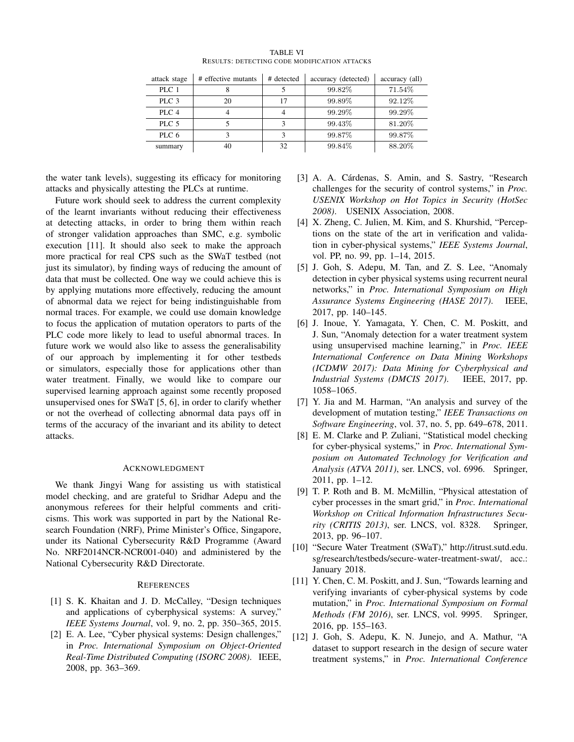| attack stage     | # effective mutants | # detected | accuracy (detected) | accuracy (all) |
|------------------|---------------------|------------|---------------------|----------------|
| $PLC_1$          | ◠                   |            | 99.82\%             | 71.54%         |
| PLC <sub>3</sub> | 20                  | 17         | 99.89%              | 92.12%         |
| PLC <sub>4</sub> |                     |            | 99.29%              | 99.29%         |
| PLC 5            |                     |            | 99.43%              | 81.20%         |
| PLC 6            |                     |            | 99.87%              | 99.87%         |
| summary          | 40                  | 32         | 99.84%              | 88.20%         |

TABLE VI RESULTS: DETECTING CODE MODIFICATION ATTACKS

the water tank levels), suggesting its efficacy for monitoring attacks and physically attesting the PLCs at runtime.

Future work should seek to address the current complexity of the learnt invariants without reducing their effectiveness at detecting attacks, in order to bring them within reach of stronger validation approaches than SMC, e.g. symbolic execution [11]. It should also seek to make the approach more practical for real CPS such as the SWaT testbed (not just its simulator), by finding ways of reducing the amount of data that must be collected. One way we could achieve this is by applying mutations more effectively, reducing the amount of abnormal data we reject for being indistinguishable from normal traces. For example, we could use domain knowledge to focus the application of mutation operators to parts of the PLC code more likely to lead to useful abnormal traces. In future work we would also like to assess the generalisability of our approach by implementing it for other testbeds or simulators, especially those for applications other than water treatment. Finally, we would like to compare our supervised learning approach against some recently proposed unsupervised ones for SWaT [5, 6], in order to clarify whether or not the overhead of collecting abnormal data pays off in terms of the accuracy of the invariant and its ability to detect attacks.

# ACKNOWLEDGMENT

We thank Jingyi Wang for assisting us with statistical model checking, and are grateful to Sridhar Adepu and the anonymous referees for their helpful comments and criticisms. This work was supported in part by the National Research Foundation (NRF), Prime Minister's Office, Singapore, under its National Cybersecurity R&D Programme (Award No. NRF2014NCR-NCR001-040) and administered by the National Cybersecurity R&D Directorate.

#### **REFERENCES**

- [1] S. K. Khaitan and J. D. McCalley, "Design techniques and applications of cyberphysical systems: A survey," *IEEE Systems Journal*, vol. 9, no. 2, pp. 350–365, 2015.
- [2] E. A. Lee, "Cyber physical systems: Design challenges," in *Proc. International Symposium on Object-Oriented Real-Time Distributed Computing (ISORC 2008)*. IEEE, 2008, pp. 363–369.
- [3] A. A. Cárdenas, S. Amin, and S. Sastry, "Research challenges for the security of control systems," in *Proc. USENIX Workshop on Hot Topics in Security (HotSec 2008)*. USENIX Association, 2008.
- [4] X. Zheng, C. Julien, M. Kim, and S. Khurshid, "Perceptions on the state of the art in verification and validation in cyber-physical systems," *IEEE Systems Journal*, vol. PP, no. 99, pp. 1–14, 2015.
- [5] J. Goh, S. Adepu, M. Tan, and Z. S. Lee, "Anomaly detection in cyber physical systems using recurrent neural networks," in *Proc. International Symposium on High Assurance Systems Engineering (HASE 2017)*. IEEE, 2017, pp. 140–145.
- [6] J. Inoue, Y. Yamagata, Y. Chen, C. M. Poskitt, and J. Sun, "Anomaly detection for a water treatment system using unsupervised machine learning," in *Proc. IEEE International Conference on Data Mining Workshops (ICDMW 2017): Data Mining for Cyberphysical and Industrial Systems (DMCIS 2017)*. IEEE, 2017, pp. 1058–1065.
- [7] Y. Jia and M. Harman, "An analysis and survey of the development of mutation testing," *IEEE Transactions on Software Engineering*, vol. 37, no. 5, pp. 649–678, 2011.
- [8] E. M. Clarke and P. Zuliani, "Statistical model checking for cyber-physical systems," in *Proc. International Symposium on Automated Technology for Verification and Analysis (ATVA 2011)*, ser. LNCS, vol. 6996. Springer, 2011, pp. 1–12.
- [9] T. P. Roth and B. M. McMillin, "Physical attestation of cyber processes in the smart grid," in *Proc. International Workshop on Critical Information Infrastructures Security (CRITIS 2013)*, ser. LNCS, vol. 8328. Springer, 2013, pp. 96–107.
- [10] "Secure Water Treatment (SWaT)," http://itrust.sutd.edu. sg/research/testbeds/secure-water-treatment-swat/, acc.: January 2018.
- [11] Y. Chen, C. M. Poskitt, and J. Sun, "Towards learning and verifying invariants of cyber-physical systems by code mutation," in *Proc. International Symposium on Formal Methods (FM 2016)*, ser. LNCS, vol. 9995. Springer, 2016, pp. 155–163.
- [12] J. Goh, S. Adepu, K. N. Junejo, and A. Mathur, "A dataset to support research in the design of secure water treatment systems," in *Proc. International Conference*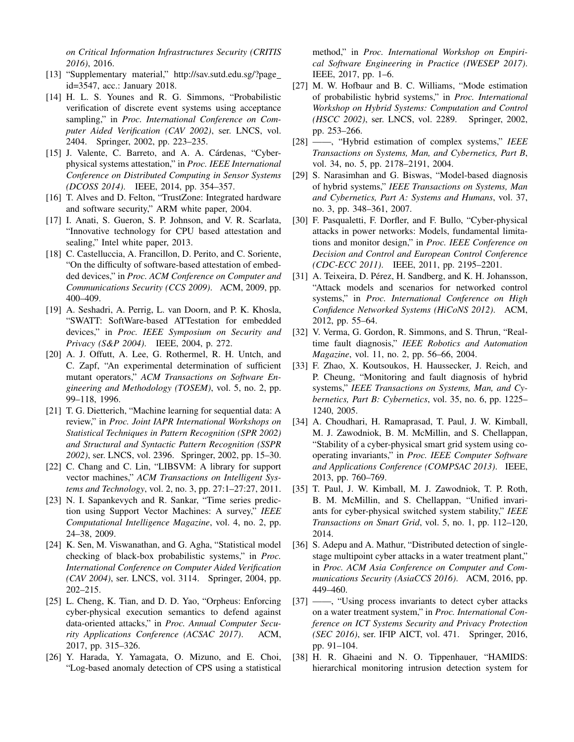*on Critical Information Infrastructures Security (CRITIS 2016)*, 2016.

- [13] "Supplementary material," http://sav.sutd.edu.sg/?page\_ id=3547, acc.: January 2018.
- [14] H. L. S. Younes and R. G. Simmons, "Probabilistic verification of discrete event systems using acceptance sampling," in *Proc. International Conference on Computer Aided Verification (CAV 2002)*, ser. LNCS, vol. 2404. Springer, 2002, pp. 223–235.
- [15] J. Valente, C. Barreto, and A. A. Cárdenas, "Cyberphysical systems attestation," in *Proc. IEEE International Conference on Distributed Computing in Sensor Systems (DCOSS 2014)*. IEEE, 2014, pp. 354–357.
- [16] T. Alves and D. Felton, "TrustZone: Integrated hardware and software security," ARM white paper, 2004.
- [17] I. Anati, S. Gueron, S. P. Johnson, and V. R. Scarlata, "Innovative technology for CPU based attestation and sealing," Intel white paper, 2013.
- [18] C. Castelluccia, A. Francillon, D. Perito, and C. Soriente, "On the difficulty of software-based attestation of embedded devices," in *Proc. ACM Conference on Computer and Communications Security (CCS 2009)*. ACM, 2009, pp. 400–409.
- [19] A. Seshadri, A. Perrig, L. van Doorn, and P. K. Khosla, "SWATT: SoftWare-based ATTestation for embedded devices," in *Proc. IEEE Symposium on Security and Privacy (S&P 2004)*. IEEE, 2004, p. 272.
- [20] A. J. Offutt, A. Lee, G. Rothermel, R. H. Untch, and C. Zapf, "An experimental determination of sufficient mutant operators," *ACM Transactions on Software Engineering and Methodology (TOSEM)*, vol. 5, no. 2, pp. 99–118, 1996.
- [21] T. G. Dietterich, "Machine learning for sequential data: A review," in *Proc. Joint IAPR International Workshops on Statistical Techniques in Pattern Recognition (SPR 2002) and Structural and Syntactic Pattern Recognition (SSPR 2002)*, ser. LNCS, vol. 2396. Springer, 2002, pp. 15–30.
- [22] C. Chang and C. Lin, "LIBSVM: A library for support vector machines," *ACM Transactions on Intelligent Systems and Technology*, vol. 2, no. 3, pp. 27:1–27:27, 2011.
- [23] N. I. Sapankevych and R. Sankar, "Time series prediction using Support Vector Machines: A survey," *IEEE Computational Intelligence Magazine*, vol. 4, no. 2, pp. 24–38, 2009.
- [24] K. Sen, M. Viswanathan, and G. Agha, "Statistical model checking of black-box probabilistic systems," in *Proc. International Conference on Computer Aided Verification (CAV 2004)*, ser. LNCS, vol. 3114. Springer, 2004, pp. 202–215.
- [25] L. Cheng, K. Tian, and D. D. Yao, "Orpheus: Enforcing cyber-physical execution semantics to defend against data-oriented attacks," in *Proc. Annual Computer Security Applications Conference (ACSAC 2017)*. ACM, 2017, pp. 315–326.
- [26] Y. Harada, Y. Yamagata, O. Mizuno, and E. Choi, "Log-based anomaly detection of CPS using a statistical

method," in *Proc. International Workshop on Empirical Software Engineering in Practice (IWESEP 2017)*. IEEE, 2017, pp. 1–6.

- [27] M. W. Hofbaur and B. C. Williams, "Mode estimation of probabilistic hybrid systems," in *Proc. International Workshop on Hybrid Systems: Computation and Control (HSCC 2002)*, ser. LNCS, vol. 2289. Springer, 2002, pp. 253–266.
- [28] ——, "Hybrid estimation of complex systems," *IEEE Transactions on Systems, Man, and Cybernetics, Part B*, vol. 34, no. 5, pp. 2178–2191, 2004.
- [29] S. Narasimhan and G. Biswas, "Model-based diagnosis of hybrid systems," *IEEE Transactions on Systems, Man and Cybernetics, Part A: Systems and Humans*, vol. 37, no. 3, pp. 348–361, 2007.
- [30] F. Pasqualetti, F. Dorfler, and F. Bullo, "Cyber-physical attacks in power networks: Models, fundamental limitations and monitor design," in *Proc. IEEE Conference on Decision and Control and European Control Conference (CDC-ECC 2011)*. IEEE, 2011, pp. 2195–2201.
- [31] A. Teixeira, D. Pérez, H. Sandberg, and K. H. Johansson, "Attack models and scenarios for networked control systems," in *Proc. International Conference on High Confidence Networked Systems (HiCoNS 2012)*. ACM, 2012, pp. 55–64.
- [32] V. Verma, G. Gordon, R. Simmons, and S. Thrun, "Realtime fault diagnosis," *IEEE Robotics and Automation Magazine*, vol. 11, no. 2, pp. 56–66, 2004.
- [33] F. Zhao, X. Koutsoukos, H. Haussecker, J. Reich, and P. Cheung, "Monitoring and fault diagnosis of hybrid systems," *IEEE Transactions on Systems, Man, and Cybernetics, Part B: Cybernetics*, vol. 35, no. 6, pp. 1225– 1240, 2005.
- [34] A. Choudhari, H. Ramaprasad, T. Paul, J. W. Kimball, M. J. Zawodniok, B. M. McMillin, and S. Chellappan, "Stability of a cyber-physical smart grid system using cooperating invariants," in *Proc. IEEE Computer Software and Applications Conference (COMPSAC 2013)*. IEEE, 2013, pp. 760–769.
- [35] T. Paul, J. W. Kimball, M. J. Zawodniok, T. P. Roth, B. M. McMillin, and S. Chellappan, "Unified invariants for cyber-physical switched system stability," *IEEE Transactions on Smart Grid*, vol. 5, no. 1, pp. 112–120, 2014.
- [36] S. Adepu and A. Mathur, "Distributed detection of singlestage multipoint cyber attacks in a water treatment plant," in *Proc. ACM Asia Conference on Computer and Communications Security (AsiaCCS 2016)*. ACM, 2016, pp. 449–460.
- [37] ——, "Using process invariants to detect cyber attacks on a water treatment system," in *Proc. International Conference on ICT Systems Security and Privacy Protection (SEC 2016)*, ser. IFIP AICT, vol. 471. Springer, 2016, pp. 91–104.
- [38] H. R. Ghaeini and N. O. Tippenhauer, "HAMIDS: hierarchical monitoring intrusion detection system for